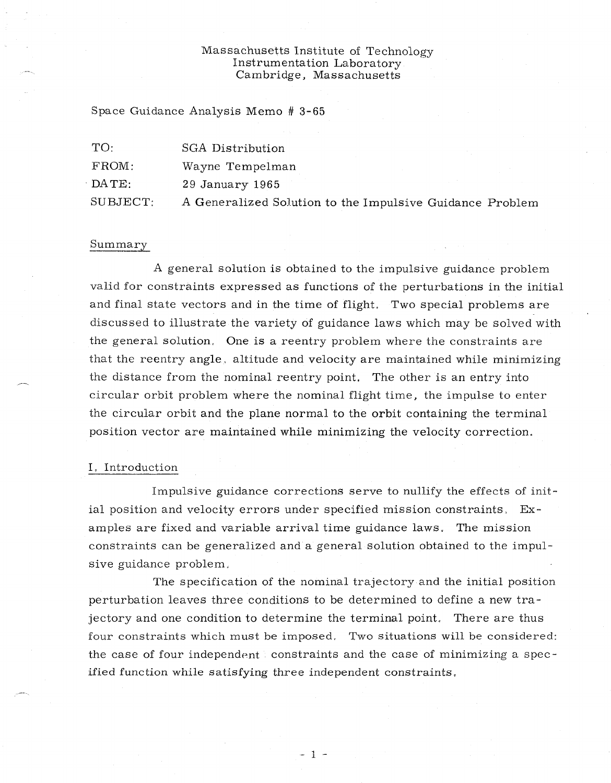## Massachusetts Institute of Technology Instrumentation Laboratory Cambridge, Massachusetts

Space Guidance Analysis Memo # 3-65

| TC       | SGA Distribution                                         |  |
|----------|----------------------------------------------------------|--|
| FROM:    | Wayne Tempelman                                          |  |
| DATE:    | $29$ January $1965$                                      |  |
| SUBJECT: | A Generalized Solution to the Impulsive Guidance Problem |  |

#### Summary

A general solution is obtained to the impulsive guidance problem valid for constraints expressed as functions of the perturbations in the initial and final state vectors and in the time of flight. Two special problems are discussed to illustrate the variety of guidance laws which may be solved with the general solution. One is a reentry problem where the constraints are that the reentry angle, altitude and velocity are maintained while minimizing the distance from the nominal reentry point. The other is an entry into circular orbit problem where the nominal flight time, the impulse to enter the circular orbit and the plane normal to the orbit containing the terminal position vector are maintained while minimizing the velocity correction.

#### I, Introduction

Impulsive guidance corrections serve to nullify the effects of initial position and velocity errors under specified mission constraints, Examples are fixed and variable arrival time guidance laws, The mission constraints can be generalized and a general solution obtained to the impulsive guidance problem,

The specification of the nominal trajectory and the initial position perturbation leaves three conditions to be determined to define a new trajectory and one condition to determine the terminal point. There are thus four constraints which must be imposed, Two situations will be considered: the case of four independent constraints and the case of minimizing a specified function while satisfying three independent constraints,

 $-1 -$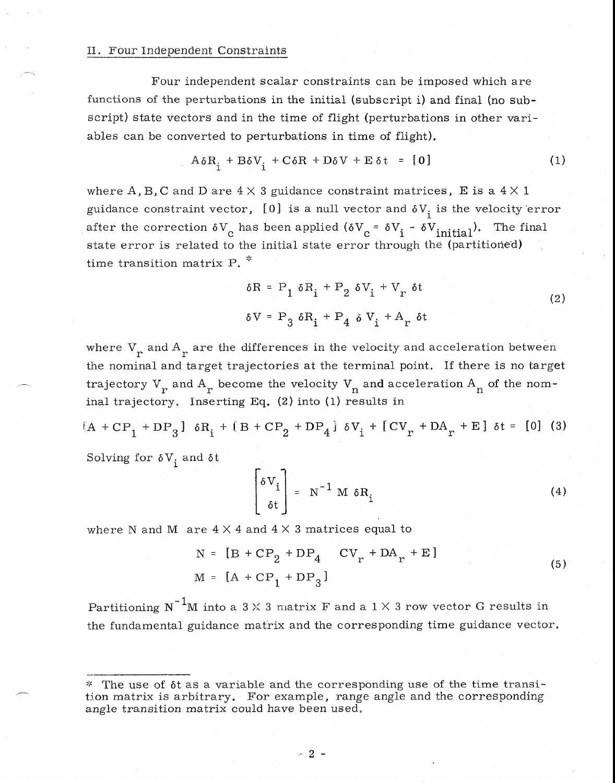## II. Four Independent Constraints

Four independent scalar constraints can be imposed which are functions of the perturbations in the initial (subscript 1) and final (no subscript) state vectors and in the time of flight (perturbations in other variables can be converted to perturbations in time of flight).

$$
A \delta R_{i} + B \delta V_{i} + C \delta R + D \delta V + E \delta t = [0]
$$
 (1)

where A, B, C and D are  $4 \times 3$  guidance constraint matrices, E is a  $4 \times 1$ guidance constraint vector, [0] is a null vector and  $\delta V_i$  is the velocity error after the correction  $\delta V_c$  has been applied  $(\delta V_c = \delta V_i - \delta V_{initial})$ . The final state error is related to the initial state error through the (partitioned) time transition matrix P.<sup>\*</sup>

$$
\delta R = P_1 \delta R_i + P_2 \delta V_i + V_r \delta t
$$
  
\n
$$
\delta V = P_3 \delta R_i + P_4 \delta V_i + A_r \delta t
$$
\n(2)

where  $V_{\text{r}}$  and  $A_{\text{r}}$  are the differences in the velocity and acceleration between the nominal and target trajectories at the terminal point. If there is no target trajectory  $V_r$  and  $A_r$  become the velocity  $V_n$  and acceleration  $A_n$  of the nominal trajectory. Inserting Eq. (2) into (1) results in

 $A + CP_1 + DP_3$  }  $\delta R_1 + [B + CP_2 + DP_4] \delta V_1 + [CV_r + DA_r + E] \delta t = [0]$  (3) Solving for  $\delta V_i$  and  $\delta t$ 

$$
\begin{bmatrix} \delta V_i \\ \delta t \end{bmatrix} = N^{-1} M \delta R_i
$$
 (4)

where N and M  $\,$  are  $\,4 \times 4$  and  $\,4 \times 3$  matrices equal to

$$
N = [B + CP2 + DP4 CVr + DAr + E]
$$
  

$$
M = [A + CP1 + DP3]
$$
 (5)

Partitioning N<sup>-1</sup>M into a 3  $\times$  3 matrix F and a 1  $\times$  3 row vector G results in the fundamental guidance matrix and the corresponding time guidance vector.

<sup>\*</sup> The use of  $\delta t$  as a variable and the corresponding use of the time transition matrix is arbitrary. For example, range angle and the corresponding angle transition matrix could have been used.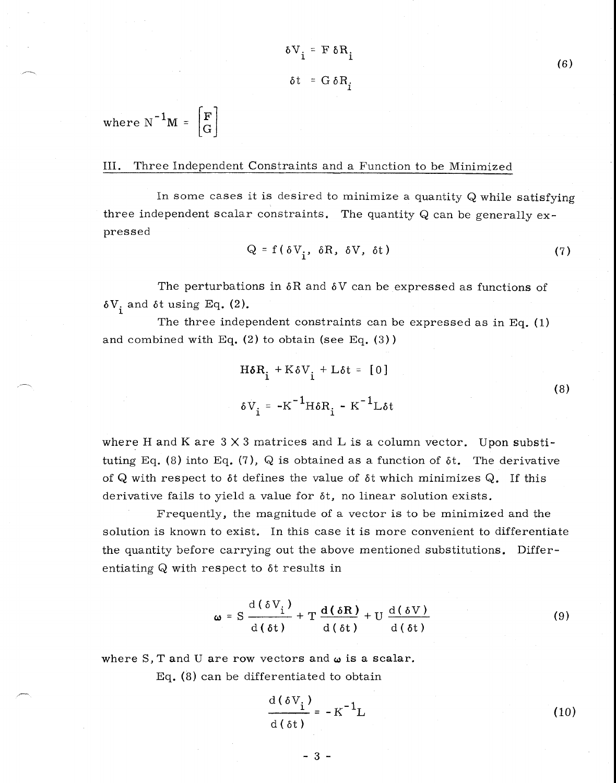$$
\delta V_i = F \delta R_i
$$

$$
\delta t = G \delta R_i
$$

where  $N^{-1}M = \begin{bmatrix} F \\ G \end{bmatrix}$ 

## III. Three Independent Constraints and a Function to be Minimized

In some cases it is desired to minimize a quantity Q while satisfying three independent scalar constraints. The quantity  $Q$  can be generally  $ex$ pressed

$$
Q = f(\delta V_{i}, \delta R, \delta V, \delta t)
$$
 (7)

The perturbations in  $\delta R$  and  $\delta V$  can be expressed as functions of  $\delta V_i$  and  $\delta t$  using Eq. (2).

The three independent constraints can be expressed as in Eq. (1) and combined with Eq.  $(2)$  to obtain (see Eq.  $(3)$ )

$$
H\delta R_{i} + K\delta V_{i} + L\delta t = [0]
$$
  
\n
$$
\delta V_{i} = -K^{-1}H\delta R_{i} - K^{-1}L\delta t
$$
\n(8)

where H and K are  $3 \times 3$  matrices and L is a column vector. Upon substituting Eq. (8) into Eq. (7), Q is obtained as a function of  $\delta t$ . The derivative of Q with respect to  $\delta t$  defines the value of  $\delta t$  which minimizes Q. If this derivative fails to yield a value for  $\delta t$ , no linear solution exists.

Frequently, the magnitude of a vector is to be minimized and the solution is known to exist. In this case it is more convenient to differentiate the quantity before carrying out the above mentioned substitutions. Differentiating  $Q$  with respect to  $\delta t$  results in

$$
\omega = S \frac{d(\delta V_i)}{d(\delta t)} + T \frac{d(\delta R)}{d(\delta t)} + U \frac{d(\delta V)}{d(\delta t)}
$$
(9)

where S, T and U are row vectors and  $\omega$  is a scalar.

Eq. (8) can be differentiated to obtain

$$
\frac{d(\delta V_i)}{d(\delta t)} = -K^{-1}L
$$
 (10)

 $(6)$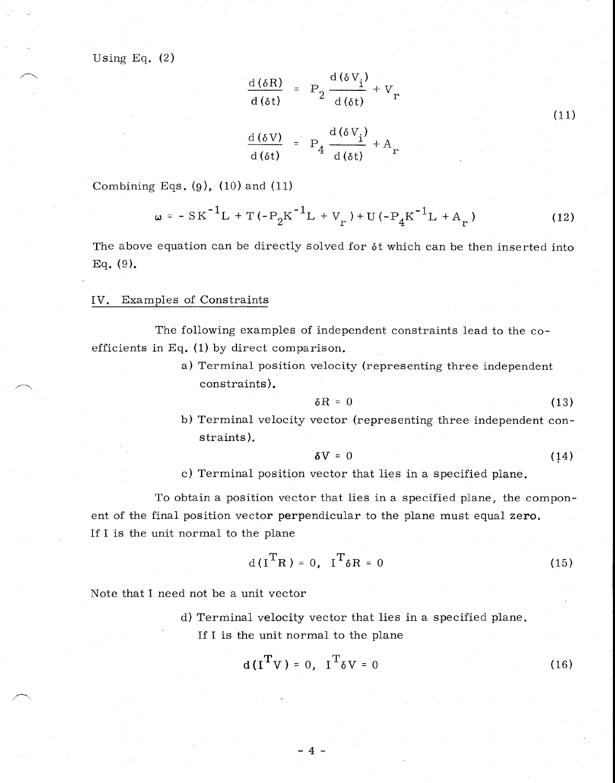Using Eq.  $(2)$ 

$$
\frac{d(\delta R)}{d(\delta t)} = P_2 \frac{d(\delta V_i)}{d(\delta t)} + V_r
$$
\n
$$
\frac{d(\delta V)}{d(\delta t)} = P_4 \frac{d(\delta V_i)}{d(\delta t)} + A_r
$$
\n(11)

Combining Eqs.  $(9)$ ,  $(10)$  and  $(11)$ 

$$
\omega = -SK^{-1}L + T(-P_2K^{-1}L + V_r) + U(-P_4K^{-1}L + A_r)
$$
 (12)

The above equation can be directly solved for  $\delta t$  which can be then inserted into Eq. (9).

### IV. Examples of Constraints

The following examples of independent constraints lead to the coefficients in Eq. (1) by direct comparison.

> a) Terminal position velocity (representing three independent constraints).

$$
\delta R = 0 \tag{13}
$$

b) Terminal velocity vector (representing three independent constraints).

$$
\delta V = 0 \tag{14}
$$

c) Terminal position vector that lies in a specified plane.

To obtain a position vector that lies in a specified plane, the component of the final position vector perpendicular to the plane must equal zero. If I is the unit normal to the plane

$$
d(ITR) = 0, IT \delta R = 0
$$
 (15)

Note that I need not be a unit vector

d) Terminal velocity vector that lies in a specified plane. If I is the unit normal to the plane

-4-

$$
d(ITV) = 0, IT \delta V = 0
$$
 (16)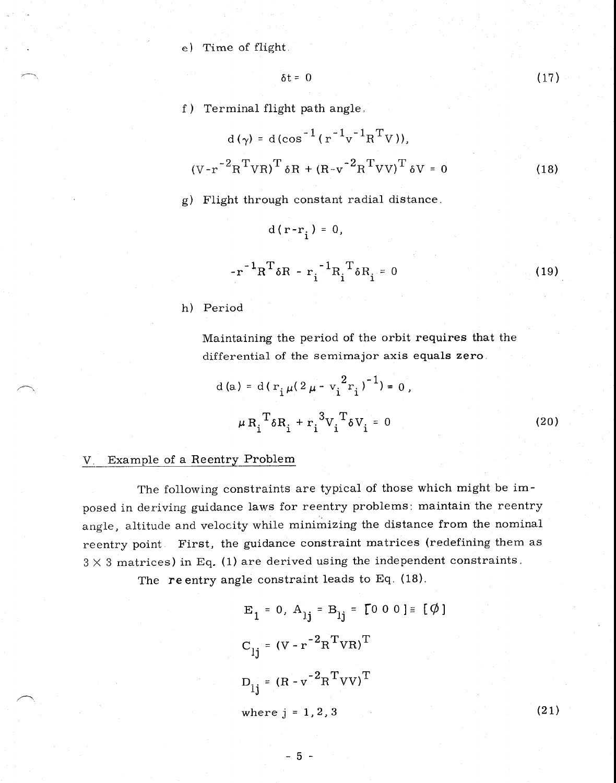e) Time of flight.

 $\delta t = 0$ 

(17)

f) Terminal flight path angle

$$
d(\gamma) = d(\cos^{-1}(r^{-1}v^{-1}R^{T}V)),
$$
  

$$
(V-r^{-2}R^{T}VR)^{T} \delta R + (R-v^{-2}R^{T}VV)^{T} \delta V = 0
$$
 (18)

g) Flight through constant radial distance.

d( $r-r_i$ ) = 0,

$$
-r^{-1}R^{T}\delta R - r_{i}^{-1}R_{i}^{T}\delta R_{i} = 0
$$
 (19)

h) Period

Maintaining the period of the orbit requires that the differential of the semimajor axis equals zero.

d (a) = d(
$$
\mathbf{r}_{i} \mu (2 \mu - \mathbf{v}_{i}^{2} \mathbf{r}_{i})^{-1}
$$
) = 0,  

$$
\mu \mathbf{R}_{i}^{\mathrm{T}} \delta \mathbf{R}_{i} + \mathbf{r}_{i}^{3} \mathbf{V}_{i}^{\mathrm{T}} \delta \mathbf{V}_{i} = 0
$$
 (20)

# V. Example of a Reentry Problem

The following constraints are typical of those which might be imposed in deriving guidance laws for reentry problems: maintain the reentry angle, altitude and velocity while minimizing the distance from the nominal reentry point. First, the guidance constraint matrices (redefining them as  $3 \times 3$  matrices) in Eq. (1) are derived using the independent constraints.

The re entry angle constraint leads to Eq. (18).

$$
E_1 = 0, A_{1j} = B_{1j} = [0 \ 0 \ 0] = [\emptyset]
$$
  
\n
$$
C_{1j} = (V - r^{-2}R^{T}VR)^{T}
$$
  
\n
$$
D_{1j} = (R - v^{-2}R^{T}VV)^{T}
$$
  
\nwhere j = 1, 2, 3 (21)

 $-5 -$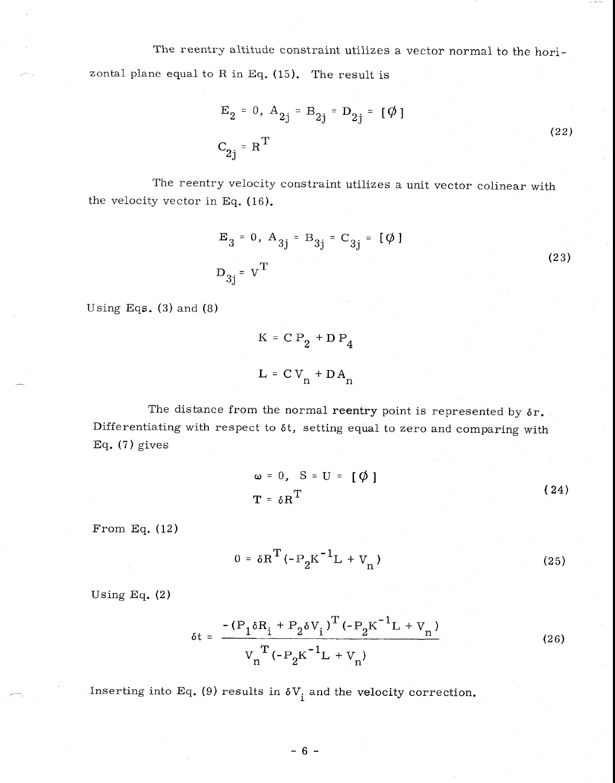The reentry altitude constraint utilizes a vector normal to the horizontal plane equal to R in Eq.  $(15)$ . The result is

$$
E_2 = 0
$$
,  $A_{2j} = B_{2j} = D_{2j} = [\emptyset]$   
 $C_{2j} = R^T$  (22)

The reentry velocity constraint utilizes a unit vector colinear with the velocity vector in Eq. (16).

$$
E_3 = 0
$$
,  $A_{3j} = B_{3j} = C_{3j} = [\emptyset]$   
 $D_{3j} = V^T$  (23)

Using Eqs.  $(3)$  and  $(8)$ 

$$
K = C P_2 + D P_4
$$
  

$$
L = C V_n + D A_n
$$

The distance from the normal reentry point is represented by  $\delta r$ . Differentiating with respect to  $\delta t$ , setting equal to zero and comparing with Eq.  $(7)$  gives

$$
\omega = 0, \quad S = U = [\phi]
$$
  

$$
T = \delta R^{T}
$$
 (24)

From Eq. (12)

$$
0 = \delta R^{T} (-P_{2}K^{-1}L + V_{n})
$$
 (25)

Using Eq. (2)

$$
\delta t = \frac{-\left(P_1 \delta R_i + P_2 \delta V_i\right)^T \left(-P_2 K^{-1} L + V_n\right)}{V_n^T \left(-P_2 K^{-1} L + V_n\right)}
$$
(26)

Inserting into Eq. (9) results in  $\delta V_i$  and the velocity correction.

 $-6 -$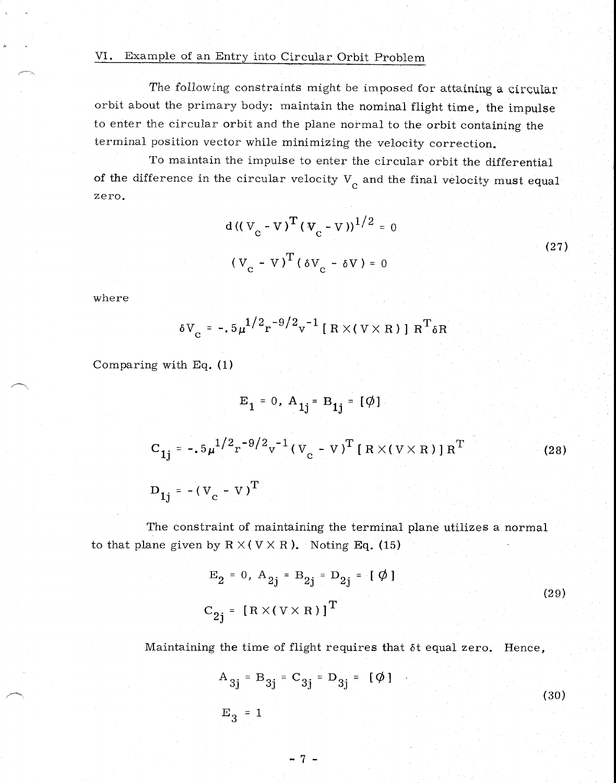# VI. Example of an Entry into Circular Orbit Problem

The following constraints might be imposed for attaining a circular orbit about the primary body: maintain the nominal flight time, the impulse to enter the circular orbit and the plane normal to the orbit containing the terminal position vector while minimizing the velocity correction.

To maintain the impulse to enter the circular orbit the differential of the difference in the circular velocity  $V_c$  and the final velocity must equal zero.

$$
d ((V_{C} - V)^{T} (V_{C} - V))^{1/2} = 0
$$
\n
$$
(V_{C} - V)^{T} (\delta V_{C} - \delta V) = 0
$$
\n(27)

where

$$
\delta V_c = -.5 \mu^{1/2} r^{-9/2} v^{-1} [R \times (V \times R)] R^{T} \delta R
$$

Comparing with Eq. (1)

$$
E_{1} = 0, A_{1j} = B_{1j} = [\emptyset]
$$
  
\n
$$
C_{1j} = -.5\mu^{1/2}r^{-9/2}v^{-1}(V_{c} - V)^{T}[R \times (V \times R)]R^{T}
$$
 (28)  
\n
$$
D_{1j} = -(V_{c} - V)^{T}
$$

The constraint of maintaining the terminal plane utilizes a normal to that plane given by  $R \times (V \times R)$ . Noting Eq. (15)

$$
E_2 = 0, A_{2j} = B_{2j} = D_{2j} = [\emptyset]
$$
  
\n
$$
C_{2j} = [R \times (V \times R)]^T
$$
\n(29)

Maintaining the time of flight requires that  $\delta t$  equal zero. Hence,

$$
A_{3j} = B_{3j} = C_{3j} = D_{3j} = [\emptyset]
$$
  
 $E_3 = 1$  (30)

-7